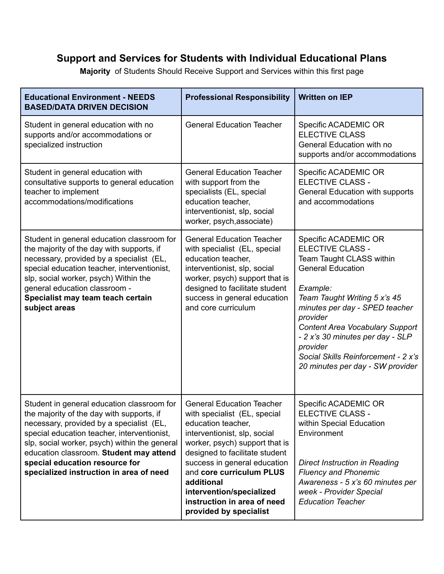## **Support and Services for Students with Individual Educational Plans**

**Majority** of Students Should Receive Support and Services within this first page

| <b>Educational Environment - NEEDS</b><br><b>BASED/DATA DRIVEN DECISION</b>                                                                                                                                                                                                                                                                                 | <b>Professional Responsibility</b>                                                                                                                                                                                                                                                                                                                        | <b>Written on IEP</b>                                                                                                                                                                                                                                                                                                                                                  |
|-------------------------------------------------------------------------------------------------------------------------------------------------------------------------------------------------------------------------------------------------------------------------------------------------------------------------------------------------------------|-----------------------------------------------------------------------------------------------------------------------------------------------------------------------------------------------------------------------------------------------------------------------------------------------------------------------------------------------------------|------------------------------------------------------------------------------------------------------------------------------------------------------------------------------------------------------------------------------------------------------------------------------------------------------------------------------------------------------------------------|
| Student in general education with no<br>supports and/or accommodations or<br>specialized instruction                                                                                                                                                                                                                                                        | <b>General Education Teacher</b>                                                                                                                                                                                                                                                                                                                          | Specific ACADEMIC OR<br><b>ELECTIVE CLASS</b><br>General Education with no<br>supports and/or accommodations                                                                                                                                                                                                                                                           |
| Student in general education with<br>consultative supports to general education<br>teacher to implement<br>accommodations/modifications                                                                                                                                                                                                                     | <b>General Education Teacher</b><br>with support from the<br>specialists (EL, special<br>education teacher,<br>interventionist, slp, social<br>worker, psych, associate)                                                                                                                                                                                  | Specific ACADEMIC OR<br><b>ELECTIVE CLASS -</b><br>General Education with supports<br>and accommodations                                                                                                                                                                                                                                                               |
| Student in general education classroom for<br>the majority of the day with supports, if<br>necessary, provided by a specialist (EL,<br>special education teacher, interventionist,<br>slp, social worker, psych) Within the<br>general education classroom -<br>Specialist may team teach certain<br>subject areas                                          | <b>General Education Teacher</b><br>with specialist (EL, special<br>education teacher,<br>interventionist, slp, social<br>worker, psych) support that is<br>designed to facilitate student<br>success in general education<br>and core curriculum                                                                                                         | Specific ACADEMIC OR<br><b>ELECTIVE CLASS -</b><br>Team Taught CLASS within<br><b>General Education</b><br>Example:<br>Team Taught Writing 5 x's 45<br>minutes per day - SPED teacher<br>provider<br><b>Content Area Vocabulary Support</b><br>- 2 x's 30 minutes per day - SLP<br>provider<br>Social Skills Reinforcement - 2 x's<br>20 minutes per day - SW provider |
| Student in general education classroom for<br>the majority of the day with supports, if<br>necessary, provided by a specialist (EL,<br>special education teacher, interventionist,<br>slp, social worker, psych) within the general<br>education classroom. Student may attend<br>special education resource for<br>specialized instruction in area of need | <b>General Education Teacher</b><br>with specialist (EL, special<br>education teacher,<br>interventionist, slp, social<br>worker, psych) support that is<br>designed to facilitate student<br>success in general education<br>and core curriculum PLUS<br>additional<br>intervention/specialized<br>instruction in area of need<br>provided by specialist | Specific ACADEMIC OR<br>ELECTIVE CLASS -<br>within Special Education<br>Environment<br>Direct Instruction in Reading<br><b>Fluency and Phonemic</b><br>Awareness - 5 x's 60 minutes per<br>week - Provider Special<br><b>Education Teacher</b>                                                                                                                         |